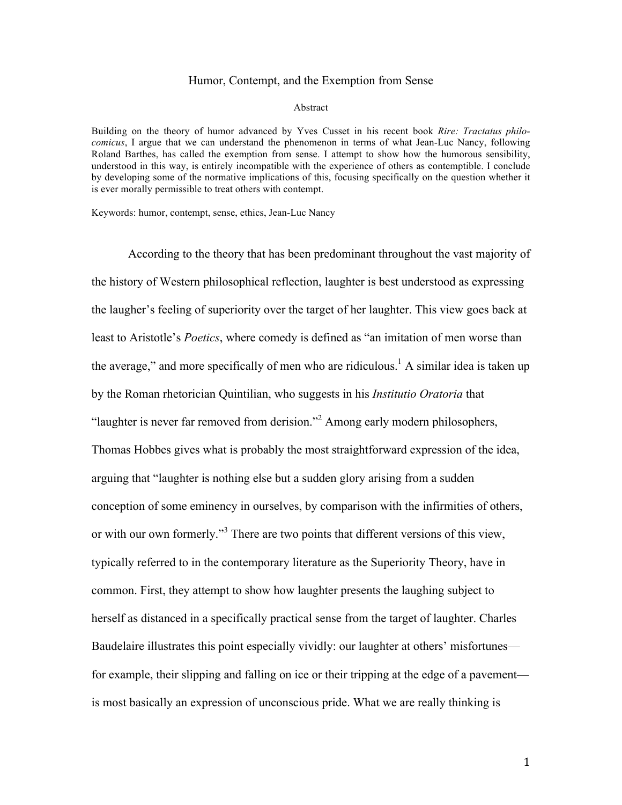## Humor, Contempt, and the Exemption from Sense

#### Abstract

Building on the theory of humor advanced by Yves Cusset in his recent book *Rire: Tractatus philocomicus*, I argue that we can understand the phenomenon in terms of what Jean-Luc Nancy, following Roland Barthes, has called the exemption from sense. I attempt to show how the humorous sensibility, understood in this way, is entirely incompatible with the experience of others as contemptible. I conclude by developing some of the normative implications of this, focusing specifically on the question whether it is ever morally permissible to treat others with contempt.

Keywords: humor, contempt, sense, ethics, Jean-Luc Nancy

According to the theory that has been predominant throughout the vast majority of the history of Western philosophical reflection, laughter is best understood as expressing the laugher's feeling of superiority over the target of her laughter. This view goes back at least to Aristotle's *Poetics*, where comedy is defined as "an imitation of men worse than the average," and more specifically of men who are ridiculous.<sup>1</sup> A similar idea is taken up by the Roman rhetorician Quintilian, who suggests in his *Institutio Oratoria* that "laughter is never far removed from derision."<sup>2</sup> Among early modern philosophers, Thomas Hobbes gives what is probably the most straightforward expression of the idea, arguing that "laughter is nothing else but a sudden glory arising from a sudden conception of some eminency in ourselves, by comparison with the infirmities of others, or with our own formerly."<sup>3</sup> There are two points that different versions of this view, typically referred to in the contemporary literature as the Superiority Theory, have in common. First, they attempt to show how laughter presents the laughing subject to herself as distanced in a specifically practical sense from the target of laughter. Charles Baudelaire illustrates this point especially vividly: our laughter at others' misfortunes for example, their slipping and falling on ice or their tripping at the edge of a pavement is most basically an expression of unconscious pride. What we are really thinking is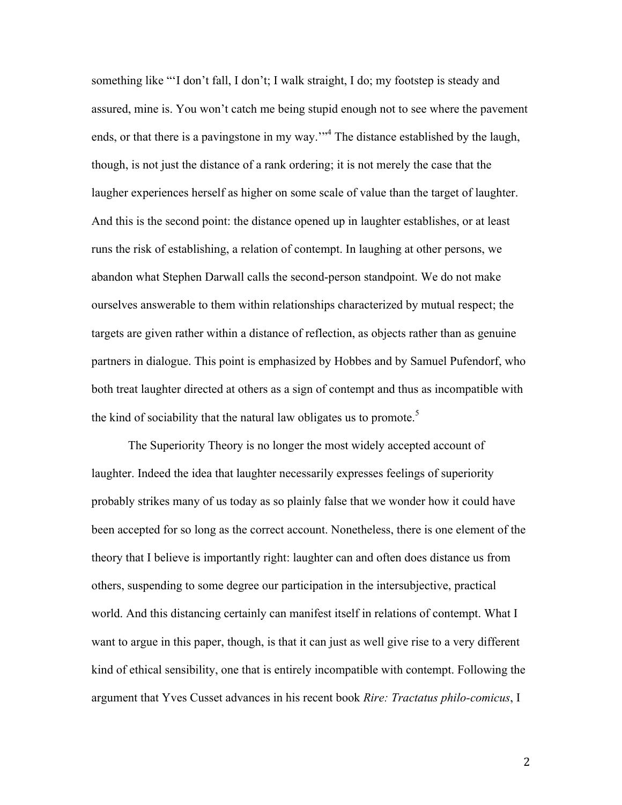something like "'I don't fall, I don't; I walk straight, I do; my footstep is steady and assured, mine is. You won't catch me being stupid enough not to see where the pavement ends, or that there is a pavingstone in my way."<sup>4</sup> The distance established by the laugh, though, is not just the distance of a rank ordering; it is not merely the case that the laugher experiences herself as higher on some scale of value than the target of laughter. And this is the second point: the distance opened up in laughter establishes, or at least runs the risk of establishing, a relation of contempt. In laughing at other persons, we abandon what Stephen Darwall calls the second-person standpoint. We do not make ourselves answerable to them within relationships characterized by mutual respect; the targets are given rather within a distance of reflection, as objects rather than as genuine partners in dialogue. This point is emphasized by Hobbes and by Samuel Pufendorf, who both treat laughter directed at others as a sign of contempt and thus as incompatible with the kind of sociability that the natural law obligates us to promote.<sup>5</sup>

The Superiority Theory is no longer the most widely accepted account of laughter. Indeed the idea that laughter necessarily expresses feelings of superiority probably strikes many of us today as so plainly false that we wonder how it could have been accepted for so long as the correct account. Nonetheless, there is one element of the theory that I believe is importantly right: laughter can and often does distance us from others, suspending to some degree our participation in the intersubjective, practical world. And this distancing certainly can manifest itself in relations of contempt. What I want to argue in this paper, though, is that it can just as well give rise to a very different kind of ethical sensibility, one that is entirely incompatible with contempt. Following the argument that Yves Cusset advances in his recent book *Rire: Tractatus philo-comicus*, I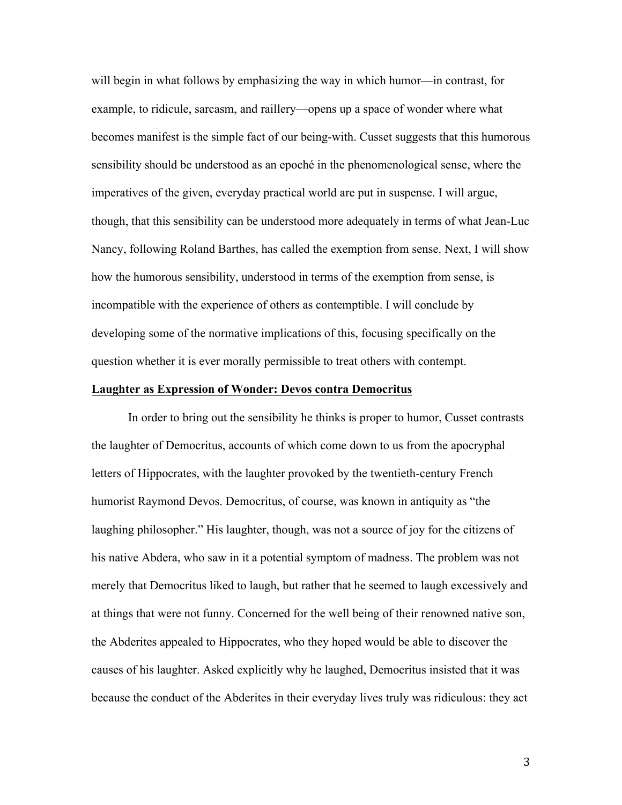will begin in what follows by emphasizing the way in which humor—in contrast, for example, to ridicule, sarcasm, and raillery—opens up a space of wonder where what becomes manifest is the simple fact of our being-with. Cusset suggests that this humorous sensibility should be understood as an epoché in the phenomenological sense, where the imperatives of the given, everyday practical world are put in suspense. I will argue, though, that this sensibility can be understood more adequately in terms of what Jean-Luc Nancy, following Roland Barthes, has called the exemption from sense. Next, I will show how the humorous sensibility, understood in terms of the exemption from sense, is incompatible with the experience of others as contemptible. I will conclude by developing some of the normative implications of this, focusing specifically on the question whether it is ever morally permissible to treat others with contempt.

# **Laughter as Expression of Wonder: Devos contra Democritus**

In order to bring out the sensibility he thinks is proper to humor, Cusset contrasts the laughter of Democritus, accounts of which come down to us from the apocryphal letters of Hippocrates, with the laughter provoked by the twentieth-century French humorist Raymond Devos. Democritus, of course, was known in antiquity as "the laughing philosopher." His laughter, though, was not a source of joy for the citizens of his native Abdera, who saw in it a potential symptom of madness. The problem was not merely that Democritus liked to laugh, but rather that he seemed to laugh excessively and at things that were not funny. Concerned for the well being of their renowned native son, the Abderites appealed to Hippocrates, who they hoped would be able to discover the causes of his laughter. Asked explicitly why he laughed, Democritus insisted that it was because the conduct of the Abderites in their everyday lives truly was ridiculous: they act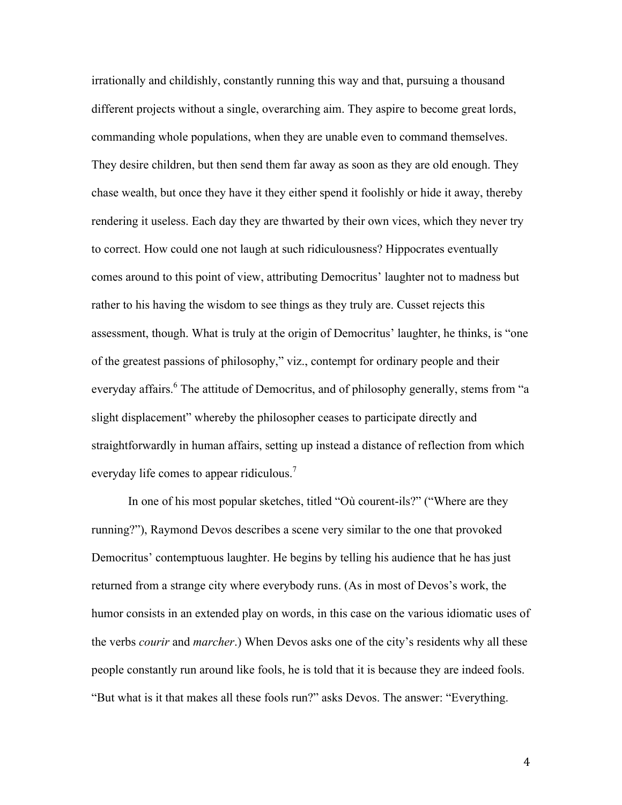irrationally and childishly, constantly running this way and that, pursuing a thousand different projects without a single, overarching aim. They aspire to become great lords, commanding whole populations, when they are unable even to command themselves. They desire children, but then send them far away as soon as they are old enough. They chase wealth, but once they have it they either spend it foolishly or hide it away, thereby rendering it useless. Each day they are thwarted by their own vices, which they never try to correct. How could one not laugh at such ridiculousness? Hippocrates eventually comes around to this point of view, attributing Democritus' laughter not to madness but rather to his having the wisdom to see things as they truly are. Cusset rejects this assessment, though. What is truly at the origin of Democritus' laughter, he thinks, is "one of the greatest passions of philosophy," viz., contempt for ordinary people and their everyday affairs.<sup>6</sup> The attitude of Democritus, and of philosophy generally, stems from "a slight displacement" whereby the philosopher ceases to participate directly and straightforwardly in human affairs, setting up instead a distance of reflection from which everyday life comes to appear ridiculous.<sup>7</sup>

In one of his most popular sketches, titled "Où courent-ils?" ("Where are they running?"), Raymond Devos describes a scene very similar to the one that provoked Democritus' contemptuous laughter. He begins by telling his audience that he has just returned from a strange city where everybody runs. (As in most of Devos's work, the humor consists in an extended play on words, in this case on the various idiomatic uses of the verbs *courir* and *marcher*.) When Devos asks one of the city's residents why all these people constantly run around like fools, he is told that it is because they are indeed fools. "But what is it that makes all these fools run?" asks Devos. The answer: "Everything.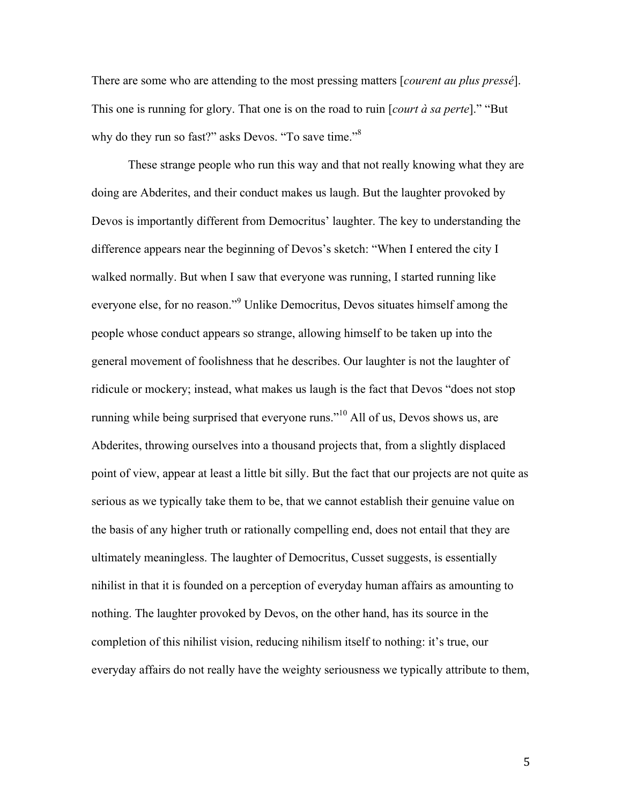There are some who are attending to the most pressing matters [*courent au plus pressé*]. This one is running for glory. That one is on the road to ruin [*court à sa perte*]." "But why do they run so fast?" asks Devos. "To save time."<sup>8</sup>

These strange people who run this way and that not really knowing what they are doing are Abderites, and their conduct makes us laugh. But the laughter provoked by Devos is importantly different from Democritus' laughter. The key to understanding the difference appears near the beginning of Devos's sketch: "When I entered the city I walked normally. But when I saw that everyone was running, I started running like everyone else, for no reason."<sup>9</sup> Unlike Democritus, Devos situates himself among the people whose conduct appears so strange, allowing himself to be taken up into the general movement of foolishness that he describes. Our laughter is not the laughter of ridicule or mockery; instead, what makes us laugh is the fact that Devos "does not stop running while being surprised that everyone runs."<sup>10</sup> All of us, Devos shows us, are Abderites, throwing ourselves into a thousand projects that, from a slightly displaced point of view, appear at least a little bit silly. But the fact that our projects are not quite as serious as we typically take them to be, that we cannot establish their genuine value on the basis of any higher truth or rationally compelling end, does not entail that they are ultimately meaningless. The laughter of Democritus, Cusset suggests, is essentially nihilist in that it is founded on a perception of everyday human affairs as amounting to nothing. The laughter provoked by Devos, on the other hand, has its source in the completion of this nihilist vision, reducing nihilism itself to nothing: it's true, our everyday affairs do not really have the weighty seriousness we typically attribute to them,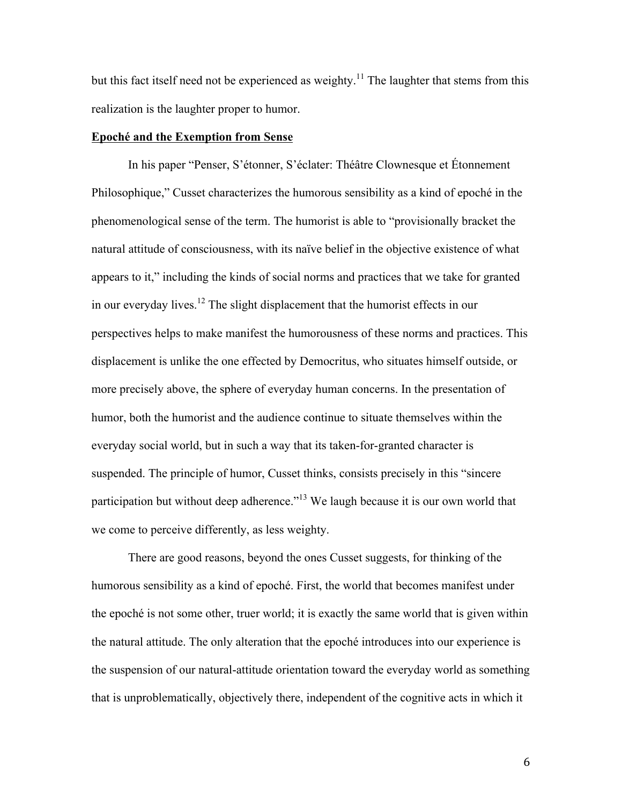but this fact itself need not be experienced as weighty.<sup>11</sup> The laughter that stems from this realization is the laughter proper to humor.

## **Epoché and the Exemption from Sense**

In his paper "Penser, S'étonner, S'éclater: Théâtre Clownesque et Étonnement Philosophique," Cusset characterizes the humorous sensibility as a kind of epoché in the phenomenological sense of the term. The humorist is able to "provisionally bracket the natural attitude of consciousness, with its naïve belief in the objective existence of what appears to it," including the kinds of social norms and practices that we take for granted in our everyday lives.<sup>12</sup> The slight displacement that the humorist effects in our perspectives helps to make manifest the humorousness of these norms and practices. This displacement is unlike the one effected by Democritus, who situates himself outside, or more precisely above, the sphere of everyday human concerns. In the presentation of humor, both the humorist and the audience continue to situate themselves within the everyday social world, but in such a way that its taken-for-granted character is suspended. The principle of humor, Cusset thinks, consists precisely in this "sincere participation but without deep adherence.<sup>"13</sup> We laugh because it is our own world that we come to perceive differently, as less weighty.

There are good reasons, beyond the ones Cusset suggests, for thinking of the humorous sensibility as a kind of epoché. First, the world that becomes manifest under the epoché is not some other, truer world; it is exactly the same world that is given within the natural attitude. The only alteration that the epoché introduces into our experience is the suspension of our natural-attitude orientation toward the everyday world as something that is unproblematically, objectively there, independent of the cognitive acts in which it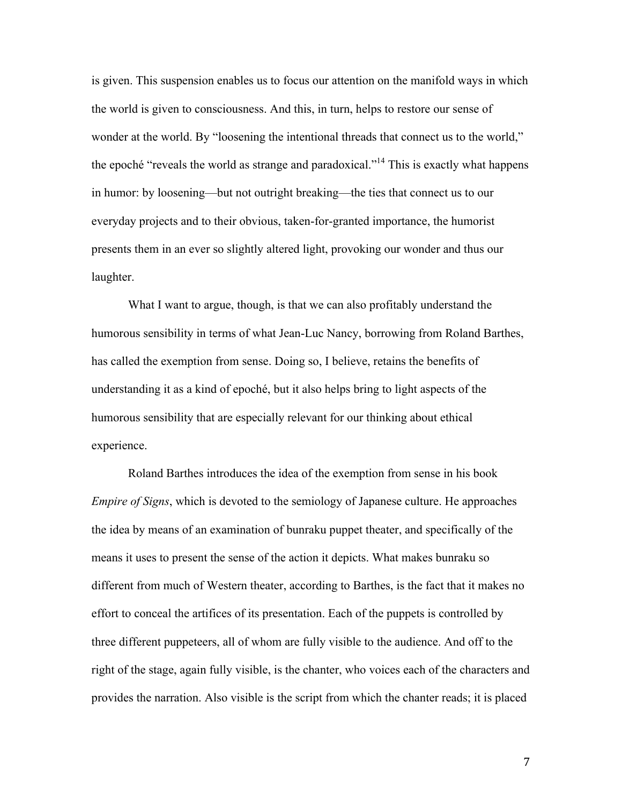is given. This suspension enables us to focus our attention on the manifold ways in which the world is given to consciousness. And this, in turn, helps to restore our sense of wonder at the world. By "loosening the intentional threads that connect us to the world," the epoché "reveals the world as strange and paradoxical."14 This is exactly what happens in humor: by loosening—but not outright breaking—the ties that connect us to our everyday projects and to their obvious, taken-for-granted importance, the humorist presents them in an ever so slightly altered light, provoking our wonder and thus our laughter.

What I want to argue, though, is that we can also profitably understand the humorous sensibility in terms of what Jean-Luc Nancy, borrowing from Roland Barthes, has called the exemption from sense. Doing so, I believe, retains the benefits of understanding it as a kind of epoché, but it also helps bring to light aspects of the humorous sensibility that are especially relevant for our thinking about ethical experience.

Roland Barthes introduces the idea of the exemption from sense in his book *Empire of Signs*, which is devoted to the semiology of Japanese culture. He approaches the idea by means of an examination of bunraku puppet theater, and specifically of the means it uses to present the sense of the action it depicts. What makes bunraku so different from much of Western theater, according to Barthes, is the fact that it makes no effort to conceal the artifices of its presentation. Each of the puppets is controlled by three different puppeteers, all of whom are fully visible to the audience. And off to the right of the stage, again fully visible, is the chanter, who voices each of the characters and provides the narration. Also visible is the script from which the chanter reads; it is placed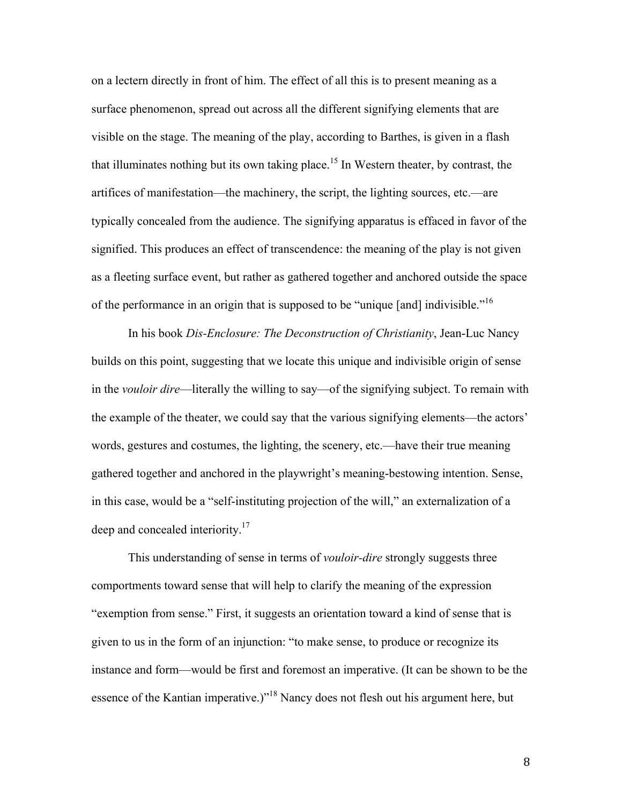on a lectern directly in front of him. The effect of all this is to present meaning as a surface phenomenon, spread out across all the different signifying elements that are visible on the stage. The meaning of the play, according to Barthes, is given in a flash that illuminates nothing but its own taking place.<sup>15</sup> In Western theater, by contrast, the artifices of manifestation—the machinery, the script, the lighting sources, etc.—are typically concealed from the audience. The signifying apparatus is effaced in favor of the signified. This produces an effect of transcendence: the meaning of the play is not given as a fleeting surface event, but rather as gathered together and anchored outside the space of the performance in an origin that is supposed to be "unique [and] indivisible."<sup>16</sup>

In his book *Dis-Enclosure: The Deconstruction of Christianity*, Jean-Luc Nancy builds on this point, suggesting that we locate this unique and indivisible origin of sense in the *vouloir dire*—literally the willing to say—of the signifying subject. To remain with the example of the theater, we could say that the various signifying elements—the actors' words, gestures and costumes, the lighting, the scenery, etc.—have their true meaning gathered together and anchored in the playwright's meaning-bestowing intention. Sense, in this case, would be a "self-instituting projection of the will," an externalization of a deep and concealed interiority.<sup>17</sup>

This understanding of sense in terms of *vouloir-dire* strongly suggests three comportments toward sense that will help to clarify the meaning of the expression "exemption from sense." First, it suggests an orientation toward a kind of sense that is given to us in the form of an injunction: "to make sense, to produce or recognize its instance and form—would be first and foremost an imperative. (It can be shown to be the essence of the Kantian imperative.)"<sup>18</sup> Nancy does not flesh out his argument here, but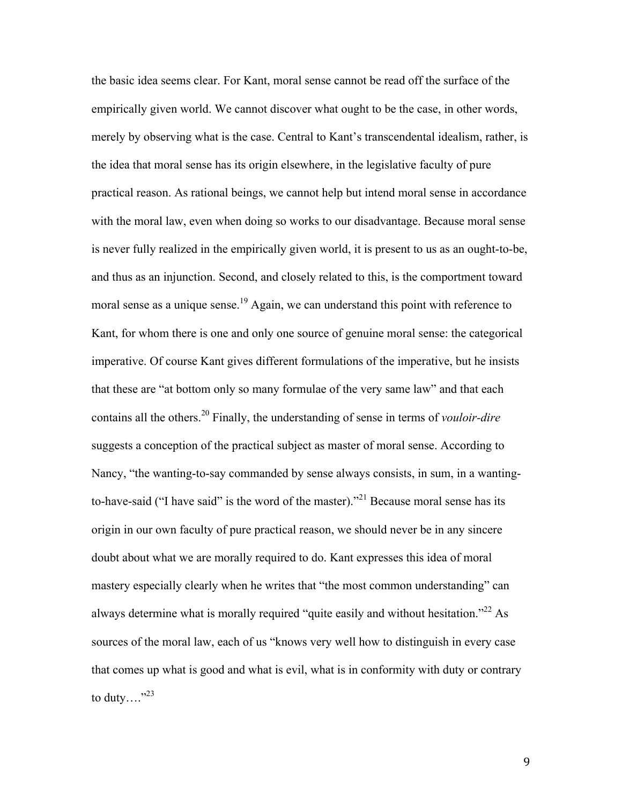the basic idea seems clear. For Kant, moral sense cannot be read off the surface of the empirically given world. We cannot discover what ought to be the case, in other words, merely by observing what is the case. Central to Kant's transcendental idealism, rather, is the idea that moral sense has its origin elsewhere, in the legislative faculty of pure practical reason. As rational beings, we cannot help but intend moral sense in accordance with the moral law, even when doing so works to our disadvantage. Because moral sense is never fully realized in the empirically given world, it is present to us as an ought-to-be, and thus as an injunction. Second, and closely related to this, is the comportment toward moral sense as a unique sense.<sup>19</sup> Again, we can understand this point with reference to Kant, for whom there is one and only one source of genuine moral sense: the categorical imperative. Of course Kant gives different formulations of the imperative, but he insists that these are "at bottom only so many formulae of the very same law" and that each contains all the others.<sup>20</sup> Finally, the understanding of sense in terms of *vouloir-dire* suggests a conception of the practical subject as master of moral sense. According to Nancy, "the wanting-to-say commanded by sense always consists, in sum, in a wantingto-have-said ("I have said" is the word of the master)."<sup>21</sup> Because moral sense has its origin in our own faculty of pure practical reason, we should never be in any sincere doubt about what we are morally required to do. Kant expresses this idea of moral mastery especially clearly when he writes that "the most common understanding" can always determine what is morally required "quite easily and without hesitation."<sup>22</sup> As sources of the moral law, each of us "knows very well how to distinguish in every case that comes up what is good and what is evil, what is in conformity with duty or contrary to duty...." $^{32}$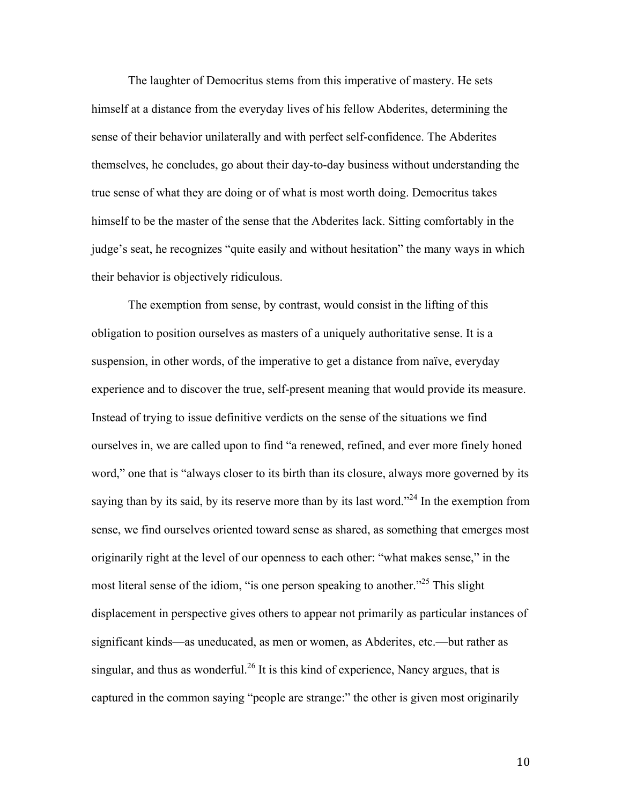The laughter of Democritus stems from this imperative of mastery. He sets himself at a distance from the everyday lives of his fellow Abderites, determining the sense of their behavior unilaterally and with perfect self-confidence. The Abderites themselves, he concludes, go about their day-to-day business without understanding the true sense of what they are doing or of what is most worth doing. Democritus takes himself to be the master of the sense that the Abderites lack. Sitting comfortably in the judge's seat, he recognizes "quite easily and without hesitation" the many ways in which their behavior is objectively ridiculous.

The exemption from sense, by contrast, would consist in the lifting of this obligation to position ourselves as masters of a uniquely authoritative sense. It is a suspension, in other words, of the imperative to get a distance from naïve, everyday experience and to discover the true, self-present meaning that would provide its measure. Instead of trying to issue definitive verdicts on the sense of the situations we find ourselves in, we are called upon to find "a renewed, refined, and ever more finely honed word," one that is "always closer to its birth than its closure, always more governed by its saying than by its said, by its reserve more than by its last word."<sup>24</sup> In the exemption from sense, we find ourselves oriented toward sense as shared, as something that emerges most originarily right at the level of our openness to each other: "what makes sense," in the most literal sense of the idiom, "is one person speaking to another."<sup>25</sup> This slight displacement in perspective gives others to appear not primarily as particular instances of significant kinds—as uneducated, as men or women, as Abderites, etc.—but rather as singular, and thus as wonderful.<sup>26</sup> It is this kind of experience, Nancy argues, that is captured in the common saying "people are strange:" the other is given most originarily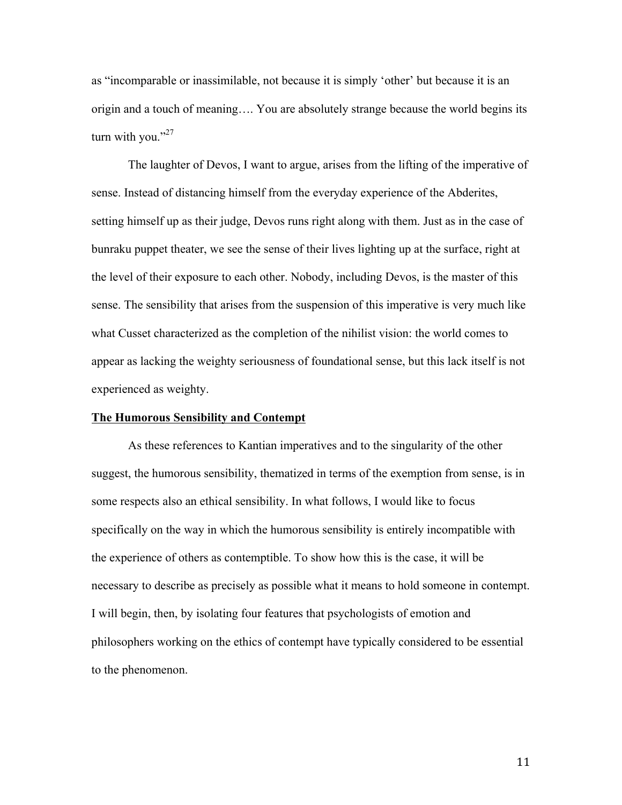as "incomparable or inassimilable, not because it is simply 'other' but because it is an origin and a touch of meaning…. You are absolutely strange because the world begins its turn with you." $27$ 

The laughter of Devos, I want to argue, arises from the lifting of the imperative of sense. Instead of distancing himself from the everyday experience of the Abderites, setting himself up as their judge, Devos runs right along with them. Just as in the case of bunraku puppet theater, we see the sense of their lives lighting up at the surface, right at the level of their exposure to each other. Nobody, including Devos, is the master of this sense. The sensibility that arises from the suspension of this imperative is very much like what Cusset characterized as the completion of the nihilist vision: the world comes to appear as lacking the weighty seriousness of foundational sense, but this lack itself is not experienced as weighty.

## **The Humorous Sensibility and Contempt**

As these references to Kantian imperatives and to the singularity of the other suggest, the humorous sensibility, thematized in terms of the exemption from sense, is in some respects also an ethical sensibility. In what follows, I would like to focus specifically on the way in which the humorous sensibility is entirely incompatible with the experience of others as contemptible. To show how this is the case, it will be necessary to describe as precisely as possible what it means to hold someone in contempt. I will begin, then, by isolating four features that psychologists of emotion and philosophers working on the ethics of contempt have typically considered to be essential to the phenomenon.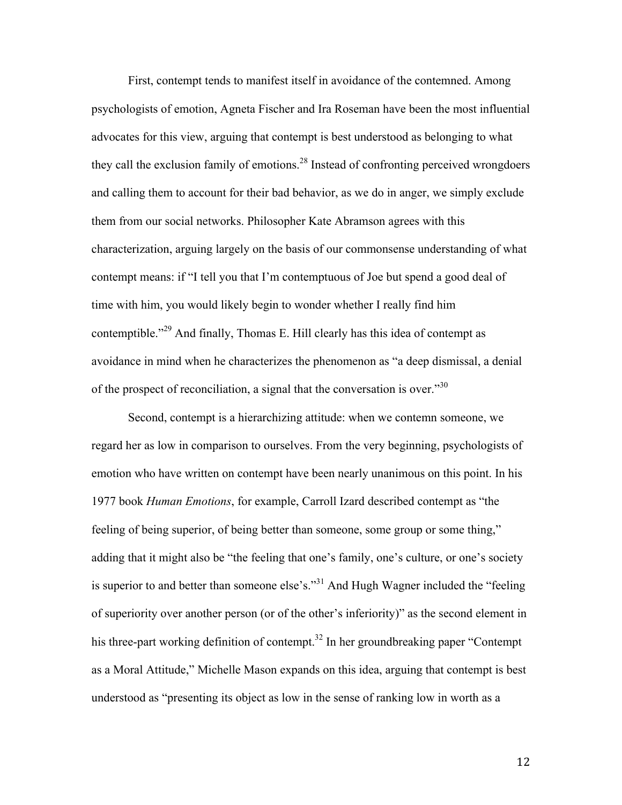First, contempt tends to manifest itself in avoidance of the contemned. Among psychologists of emotion, Agneta Fischer and Ira Roseman have been the most influential advocates for this view, arguing that contempt is best understood as belonging to what they call the exclusion family of emotions.<sup>28</sup> Instead of confronting perceived wrongdoers and calling them to account for their bad behavior, as we do in anger, we simply exclude them from our social networks. Philosopher Kate Abramson agrees with this characterization, arguing largely on the basis of our commonsense understanding of what contempt means: if "I tell you that I'm contemptuous of Joe but spend a good deal of time with him, you would likely begin to wonder whether I really find him contemptible."<sup>29</sup> And finally, Thomas E. Hill clearly has this idea of contempt as avoidance in mind when he characterizes the phenomenon as "a deep dismissal, a denial of the prospect of reconciliation, a signal that the conversation is over.<sup>30</sup>

Second, contempt is a hierarchizing attitude: when we contemn someone, we regard her as low in comparison to ourselves. From the very beginning, psychologists of emotion who have written on contempt have been nearly unanimous on this point. In his 1977 book *Human Emotions*, for example, Carroll Izard described contempt as "the feeling of being superior, of being better than someone, some group or some thing," adding that it might also be "the feeling that one's family, one's culture, or one's society is superior to and better than someone else's."<sup>31</sup> And Hugh Wagner included the "feeling" of superiority over another person (or of the other's inferiority)" as the second element in his three-part working definition of contempt.<sup>32</sup> In her groundbreaking paper "Contempt as a Moral Attitude," Michelle Mason expands on this idea, arguing that contempt is best understood as "presenting its object as low in the sense of ranking low in worth as a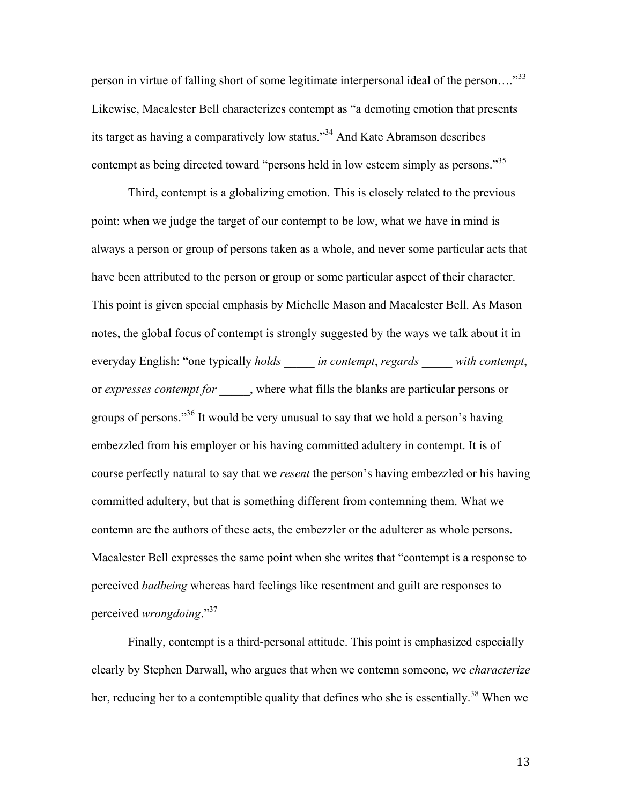person in virtue of falling short of some legitimate interpersonal ideal of the person..."<sup>33</sup> Likewise, Macalester Bell characterizes contempt as "a demoting emotion that presents its target as having a comparatively low status."34 And Kate Abramson describes contempt as being directed toward "persons held in low esteem simply as persons."<sup>35</sup>

Third, contempt is a globalizing emotion. This is closely related to the previous point: when we judge the target of our contempt to be low, what we have in mind is always a person or group of persons taken as a whole, and never some particular acts that have been attributed to the person or group or some particular aspect of their character. This point is given special emphasis by Michelle Mason and Macalester Bell. As Mason notes, the global focus of contempt is strongly suggested by the ways we talk about it in everyday English: "one typically *holds \_\_\_\_\_ in contempt*, *regards \_\_\_\_\_ with contempt*, or *expresses contempt for \_\_\_\_\_*, where what fills the blanks are particular persons or groups of persons."36 It would be very unusual to say that we hold a person's having embezzled from his employer or his having committed adultery in contempt. It is of course perfectly natural to say that we *resent* the person's having embezzled or his having committed adultery, but that is something different from contemning them. What we contemn are the authors of these acts, the embezzler or the adulterer as whole persons. Macalester Bell expresses the same point when she writes that "contempt is a response to perceived *badbeing* whereas hard feelings like resentment and guilt are responses to perceived *wrongdoing*."37

Finally, contempt is a third-personal attitude. This point is emphasized especially clearly by Stephen Darwall, who argues that when we contemn someone, we *characterize* her, reducing her to a contemptible quality that defines who she is essentially.<sup>38</sup> When we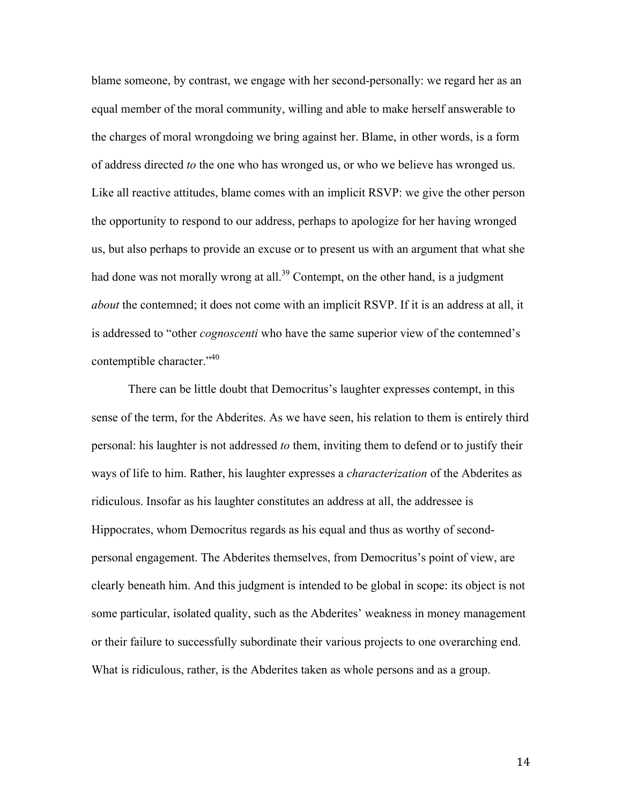blame someone, by contrast, we engage with her second-personally: we regard her as an equal member of the moral community, willing and able to make herself answerable to the charges of moral wrongdoing we bring against her. Blame, in other words, is a form of address directed *to* the one who has wronged us, or who we believe has wronged us. Like all reactive attitudes, blame comes with an implicit RSVP: we give the other person the opportunity to respond to our address, perhaps to apologize for her having wronged us, but also perhaps to provide an excuse or to present us with an argument that what she had done was not morally wrong at all.<sup>39</sup> Contempt, on the other hand, is a judgment *about* the contemned; it does not come with an implicit RSVP. If it is an address at all, it is addressed to "other *cognoscenti* who have the same superior view of the contemned's contemptible character."<sup>40</sup>

There can be little doubt that Democritus's laughter expresses contempt, in this sense of the term, for the Abderites. As we have seen, his relation to them is entirely third personal: his laughter is not addressed *to* them, inviting them to defend or to justify their ways of life to him. Rather, his laughter expresses a *characterization* of the Abderites as ridiculous. Insofar as his laughter constitutes an address at all, the addressee is Hippocrates, whom Democritus regards as his equal and thus as worthy of secondpersonal engagement. The Abderites themselves, from Democritus's point of view, are clearly beneath him. And this judgment is intended to be global in scope: its object is not some particular, isolated quality, such as the Abderites' weakness in money management or their failure to successfully subordinate their various projects to one overarching end. What is ridiculous, rather, is the Abderites taken as whole persons and as a group.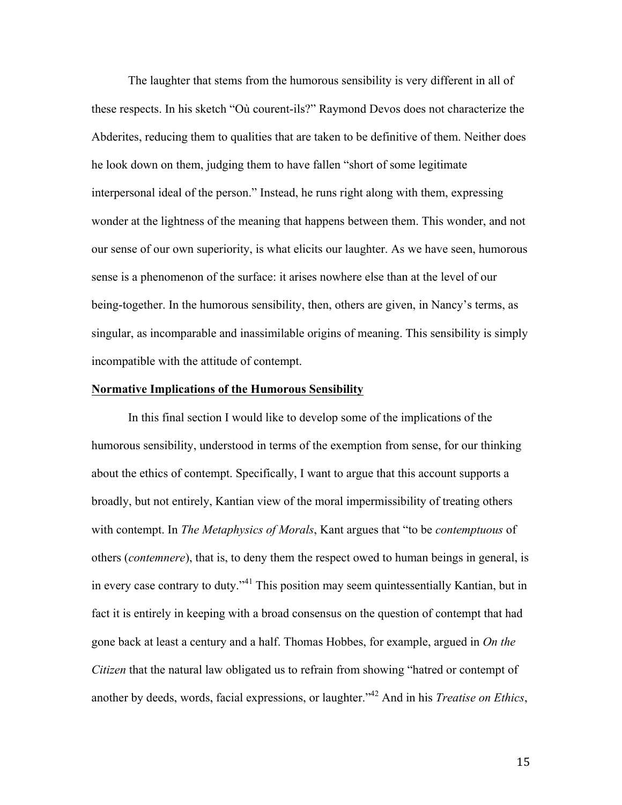The laughter that stems from the humorous sensibility is very different in all of these respects. In his sketch "Où courent-ils?" Raymond Devos does not characterize the Abderites, reducing them to qualities that are taken to be definitive of them. Neither does he look down on them, judging them to have fallen "short of some legitimate interpersonal ideal of the person." Instead, he runs right along with them, expressing wonder at the lightness of the meaning that happens between them. This wonder, and not our sense of our own superiority, is what elicits our laughter. As we have seen, humorous sense is a phenomenon of the surface: it arises nowhere else than at the level of our being-together. In the humorous sensibility, then, others are given, in Nancy's terms, as singular, as incomparable and inassimilable origins of meaning. This sensibility is simply incompatible with the attitude of contempt.

## **Normative Implications of the Humorous Sensibility**

In this final section I would like to develop some of the implications of the humorous sensibility, understood in terms of the exemption from sense, for our thinking about the ethics of contempt. Specifically, I want to argue that this account supports a broadly, but not entirely, Kantian view of the moral impermissibility of treating others with contempt. In *The Metaphysics of Morals*, Kant argues that "to be *contemptuous* of others (*contemnere*), that is, to deny them the respect owed to human beings in general, is in every case contrary to duty."<sup>41</sup> This position may seem quintessentially Kantian, but in fact it is entirely in keeping with a broad consensus on the question of contempt that had gone back at least a century and a half. Thomas Hobbes, for example, argued in *On the Citizen* that the natural law obligated us to refrain from showing "hatred or contempt of another by deeds, words, facial expressions, or laughter."42 And in his *Treatise on Ethics*,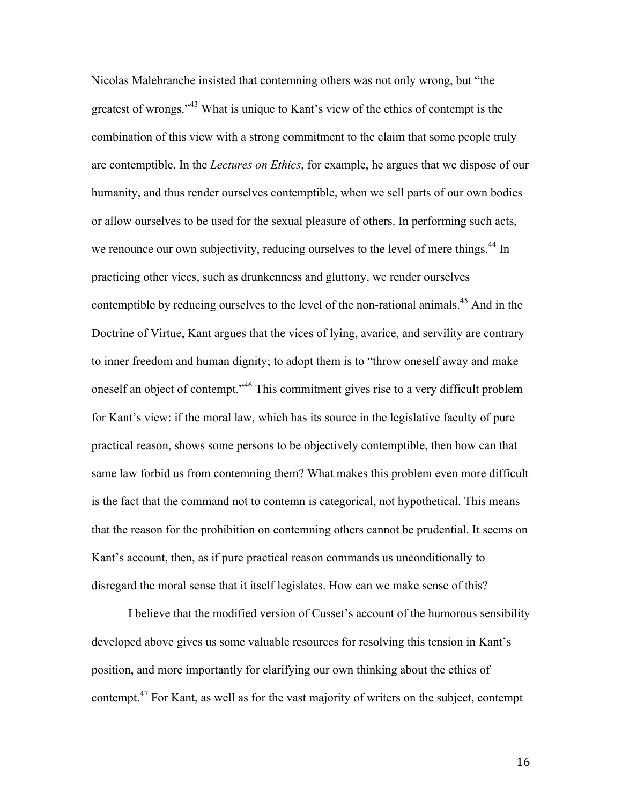Nicolas Malebranche insisted that contemning others was not only wrong, but "the greatest of wrongs."43 What is unique to Kant's view of the ethics of contempt is the combination of this view with a strong commitment to the claim that some people truly are contemptible. In the *Lectures on Ethics*, for example, he argues that we dispose of our humanity, and thus render ourselves contemptible, when we sell parts of our own bodies or allow ourselves to be used for the sexual pleasure of others. In performing such acts, we renounce our own subjectivity, reducing ourselves to the level of mere things.<sup>44</sup> In practicing other vices, such as drunkenness and gluttony, we render ourselves contemptible by reducing ourselves to the level of the non-rational animals.<sup>45</sup> And in the Doctrine of Virtue, Kant argues that the vices of lying, avarice, and servility are contrary to inner freedom and human dignity; to adopt them is to "throw oneself away and make oneself an object of contempt."46 This commitment gives rise to a very difficult problem for Kant's view: if the moral law, which has its source in the legislative faculty of pure practical reason, shows some persons to be objectively contemptible, then how can that same law forbid us from contemning them? What makes this problem even more difficult is the fact that the command not to contemn is categorical, not hypothetical. This means that the reason for the prohibition on contemning others cannot be prudential. It seems on Kant's account, then, as if pure practical reason commands us unconditionally to disregard the moral sense that it itself legislates. How can we make sense of this?

I believe that the modified version of Cusset's account of the humorous sensibility developed above gives us some valuable resources for resolving this tension in Kant's position, and more importantly for clarifying our own thinking about the ethics of contempt.<sup>47</sup> For Kant, as well as for the vast majority of writers on the subject, contempt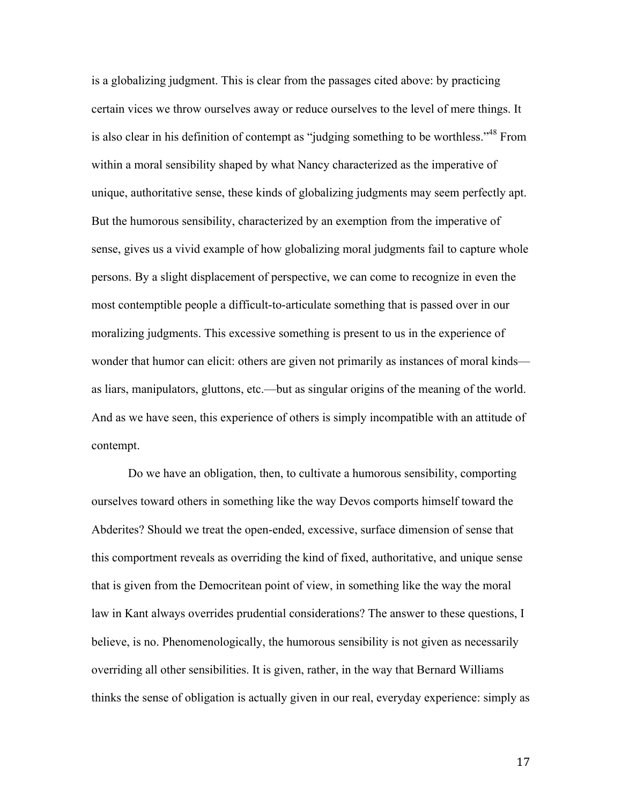is a globalizing judgment. This is clear from the passages cited above: by practicing certain vices we throw ourselves away or reduce ourselves to the level of mere things. It is also clear in his definition of contempt as "judging something to be worthless."<sup>48</sup> From within a moral sensibility shaped by what Nancy characterized as the imperative of unique, authoritative sense, these kinds of globalizing judgments may seem perfectly apt. But the humorous sensibility, characterized by an exemption from the imperative of sense, gives us a vivid example of how globalizing moral judgments fail to capture whole persons. By a slight displacement of perspective, we can come to recognize in even the most contemptible people a difficult-to-articulate something that is passed over in our moralizing judgments. This excessive something is present to us in the experience of wonder that humor can elicit: others are given not primarily as instances of moral kinds as liars, manipulators, gluttons, etc.—but as singular origins of the meaning of the world. And as we have seen, this experience of others is simply incompatible with an attitude of contempt.

Do we have an obligation, then, to cultivate a humorous sensibility, comporting ourselves toward others in something like the way Devos comports himself toward the Abderites? Should we treat the open-ended, excessive, surface dimension of sense that this comportment reveals as overriding the kind of fixed, authoritative, and unique sense that is given from the Democritean point of view, in something like the way the moral law in Kant always overrides prudential considerations? The answer to these questions, I believe, is no. Phenomenologically, the humorous sensibility is not given as necessarily overriding all other sensibilities. It is given, rather, in the way that Bernard Williams thinks the sense of obligation is actually given in our real, everyday experience: simply as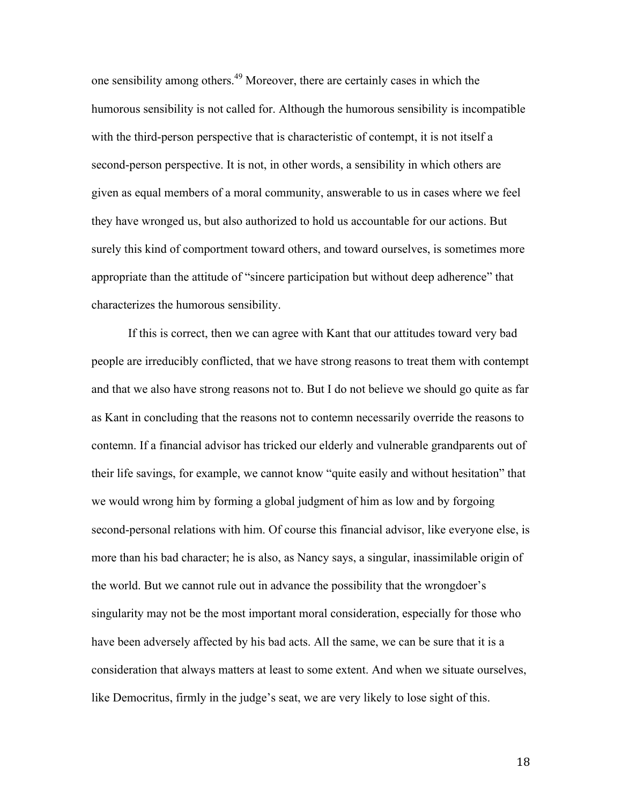one sensibility among others.49 Moreover, there are certainly cases in which the humorous sensibility is not called for. Although the humorous sensibility is incompatible with the third-person perspective that is characteristic of contempt, it is not itself a second-person perspective. It is not, in other words, a sensibility in which others are given as equal members of a moral community, answerable to us in cases where we feel they have wronged us, but also authorized to hold us accountable for our actions. But surely this kind of comportment toward others, and toward ourselves, is sometimes more appropriate than the attitude of "sincere participation but without deep adherence" that characterizes the humorous sensibility.

If this is correct, then we can agree with Kant that our attitudes toward very bad people are irreducibly conflicted, that we have strong reasons to treat them with contempt and that we also have strong reasons not to. But I do not believe we should go quite as far as Kant in concluding that the reasons not to contemn necessarily override the reasons to contemn. If a financial advisor has tricked our elderly and vulnerable grandparents out of their life savings, for example, we cannot know "quite easily and without hesitation" that we would wrong him by forming a global judgment of him as low and by forgoing second-personal relations with him. Of course this financial advisor, like everyone else, is more than his bad character; he is also, as Nancy says, a singular, inassimilable origin of the world. But we cannot rule out in advance the possibility that the wrongdoer's singularity may not be the most important moral consideration, especially for those who have been adversely affected by his bad acts. All the same, we can be sure that it is a consideration that always matters at least to some extent. And when we situate ourselves, like Democritus, firmly in the judge's seat, we are very likely to lose sight of this.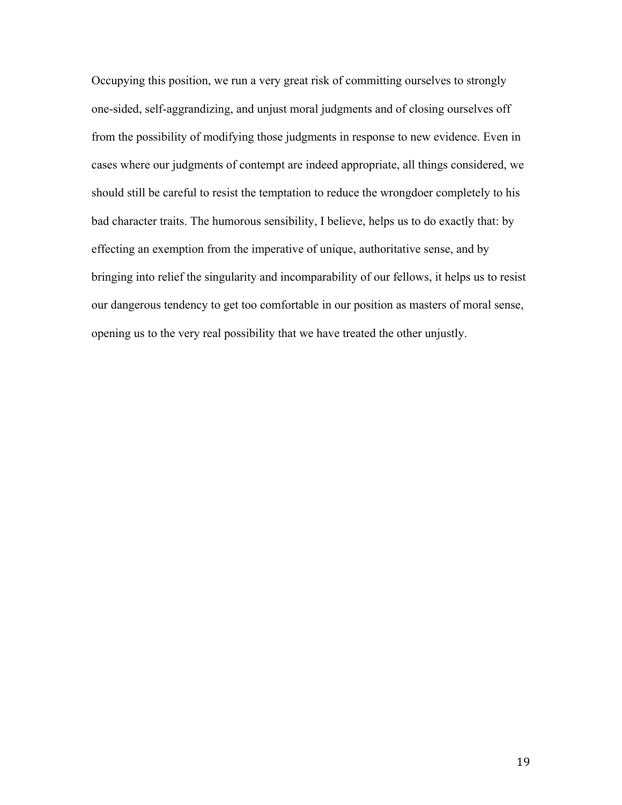Occupying this position, we run a very great risk of committing ourselves to strongly one-sided, self-aggrandizing, and unjust moral judgments and of closing ourselves off from the possibility of modifying those judgments in response to new evidence. Even in cases where our judgments of contempt are indeed appropriate, all things considered, we should still be careful to resist the temptation to reduce the wrongdoer completely to his bad character traits. The humorous sensibility, I believe, helps us to do exactly that: by effecting an exemption from the imperative of unique, authoritative sense, and by bringing into relief the singularity and incomparability of our fellows, it helps us to resist our dangerous tendency to get too comfortable in our position as masters of moral sense, opening us to the very real possibility that we have treated the other unjustly.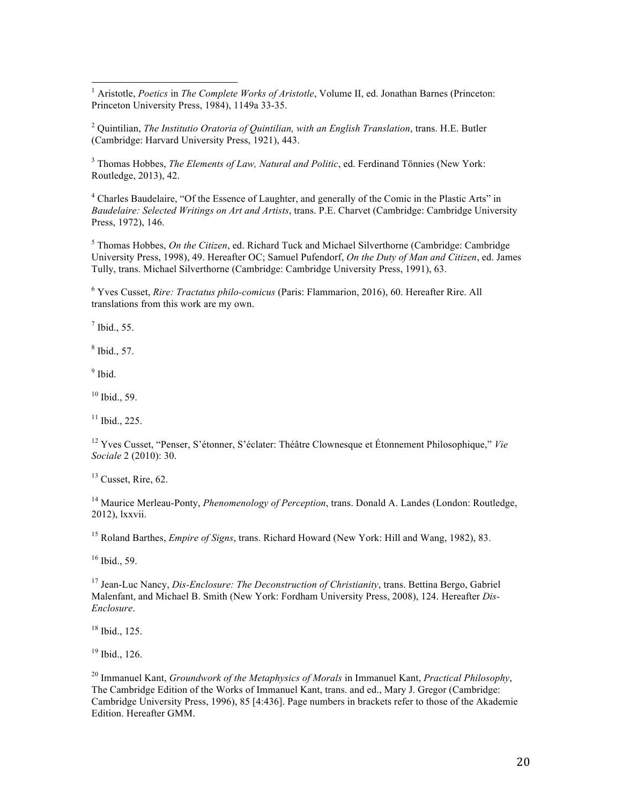<sup>1</sup> Aristotle, *Poetics* in *The Complete Works of Aristotle*, Volume II, ed. Jonathan Barnes (Princeton: Princeton University Press, 1984), 1149a 33-35.

<sup>2</sup> Quintilian, *The Institutio Oratoria of Quintilian, with an English Translation*, trans. H.E. Butler (Cambridge: Harvard University Press, 1921), 443.

<sup>3</sup> Thomas Hobbes, *The Elements of Law, Natural and Politic*, ed. Ferdinand Tönnies (New York: Routledge, 2013), 42.

<sup>4</sup> Charles Baudelaire, "Of the Essence of Laughter, and generally of the Comic in the Plastic Arts" in *Baudelaire: Selected Writings on Art and Artists*, trans. P.E. Charvet (Cambridge: Cambridge University Press, 1972), 146.

<sup>5</sup> Thomas Hobbes, *On the Citizen*, ed. Richard Tuck and Michael Silverthorne (Cambridge: Cambridge University Press, 1998), 49. Hereafter OC; Samuel Pufendorf, *On the Duty of Man and Citizen*, ed. James Tully, trans. Michael Silverthorne (Cambridge: Cambridge University Press, 1991), 63.

<sup>6</sup> Yves Cusset, *Rire: Tractatus philo-comicus* (Paris: Flammarion, 2016), 60. Hereafter Rire. All translations from this work are my own.

 $<sup>7</sup>$  Ibid., 55.</sup>

<sup>8</sup> Ibid., 57.

 $<sup>9</sup>$  Ibid.</sup>

 $10$  Ibid., 59.

 $11$  Ibid., 225.

<sup>12</sup> Yves Cusset, "Penser, S'étonner, S'éclater: Théâtre Clownesque et Étonnement Philosophique," *Vie Sociale* 2 (2010): 30.

 $13$  Cusset, Rire, 62.

<sup>14</sup> Maurice Merleau-Ponty, *Phenomenology of Perception*, trans. Donald A. Landes (London: Routledge, 2012), lxxvii.

<sup>15</sup> Roland Barthes, *Empire of Signs*, trans. Richard Howard (New York: Hill and Wang, 1982), 83.

<sup>16</sup> Ibid., 59.

<sup>17</sup> Jean-Luc Nancy, *Dis-Enclosure: The Deconstruction of Christianity*, trans. Bettina Bergo, Gabriel Malenfant, and Michael B. Smith (New York: Fordham University Press, 2008), 124. Hereafter *Dis-Enclosure*.

 $18$  Ibid., 125.

 $19$  Ibid., 126.

<sup>20</sup> Immanuel Kant, *Groundwork of the Metaphysics of Morals* in Immanuel Kant, *Practical Philosophy*, The Cambridge Edition of the Works of Immanuel Kant, trans. and ed., Mary J. Gregor (Cambridge: Cambridge University Press, 1996), 85 [4:436]. Page numbers in brackets refer to those of the Akademie Edition. Hereafter GMM.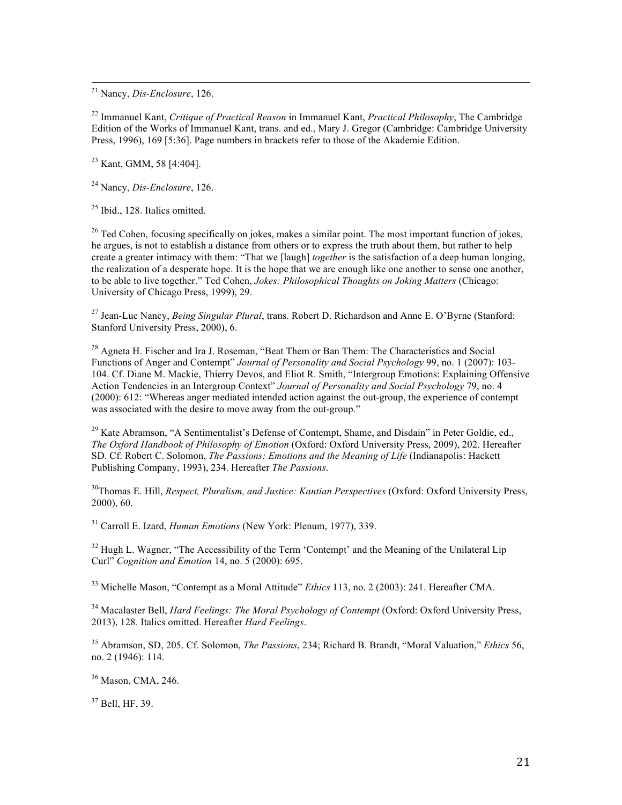<sup>21</sup> Nancy, *Dis-Enclosure*, 126.

<sup>22</sup> Immanuel Kant, *Critique of Practical Reason* in Immanuel Kant, *Practical Philosophy*, The Cambridge Edition of the Works of Immanuel Kant, trans. and ed., Mary J. Gregor (Cambridge: Cambridge University Press, 1996), 169 [5:36]. Page numbers in brackets refer to those of the Akademie Edition.

<sup>23</sup> Kant, GMM, 58 [4:404].

<sup>24</sup> Nancy, *Dis-Enclosure*, 126.

 $25$  Ibid., 128. Italics omitted.

 $^{26}$  Ted Cohen, focusing specifically on jokes, makes a similar point. The most important function of jokes, he argues, is not to establish a distance from others or to express the truth about them, but rather to help create a greater intimacy with them: "That we [laugh] *together* is the satisfaction of a deep human longing, the realization of a desperate hope. It is the hope that we are enough like one another to sense one another, to be able to live together." Ted Cohen, *Jokes: Philosophical Thoughts on Joking Matters* (Chicago: University of Chicago Press, 1999), 29.

<sup>27</sup> Jean-Luc Nancy, *Being Singular Plural*, trans. Robert D. Richardson and Anne E. O'Byrne (Stanford: Stanford University Press, 2000), 6.

<sup>28</sup> Agneta H. Fischer and Ira J. Roseman, "Beat Them or Ban Them: The Characteristics and Social Functions of Anger and Contempt" *Journal of Personality and Social Psychology* 99, no. 1 (2007): 103- 104. Cf. Diane M. Mackie, Thierry Devos, and Eliot R. Smith, "Intergroup Emotions: Explaining Offensive Action Tendencies in an Intergroup Context" *Journal of Personality and Social Psychology* 79, no. 4 (2000): 612: "Whereas anger mediated intended action against the out-group, the experience of contempt was associated with the desire to move away from the out-group."

<sup>29</sup> Kate Abramson, "A Sentimentalist's Defense of Contempt, Shame, and Disdain" in Peter Goldie, ed., *The Oxford Handbook of Philosophy of Emotion* (Oxford: Oxford University Press, 2009), 202. Hereafter SD. Cf. Robert C. Solomon, *The Passions: Emotions and the Meaning of Life* (Indianapolis: Hackett Publishing Company, 1993), 234. Hereafter *The Passions*.

30Thomas E. Hill, *Respect, Pluralism, and Justice: Kantian Perspectives* (Oxford: Oxford University Press, 2000), 60.

<sup>31</sup> Carroll E. Izard, *Human Emotions* (New York: Plenum, 1977), 339.

<sup>32</sup> Hugh L. Wagner, "The Accessibility of the Term 'Contempt' and the Meaning of the Unilateral Lip Curl" *Cognition and Emotion* 14, no. 5 (2000): 695.

<sup>33</sup> Michelle Mason, "Contempt as a Moral Attitude" *Ethics* 113, no. 2 (2003): 241. Hereafter CMA.

<sup>34</sup> Macalaster Bell, *Hard Feelings: The Moral Psychology of Contempt* (Oxford: Oxford University Press, 2013), 128. Italics omitted. Hereafter *Hard Feelings*.

<sup>35</sup> Abramson, SD, 205. Cf. Solomon, *The Passions*, 234; Richard B. Brandt, "Moral Valuation," *Ethics* 56, no. 2 (1946): 114.

<sup>36</sup> Mason, CMA, 246.

<sup>37</sup> Bell, HF, 39.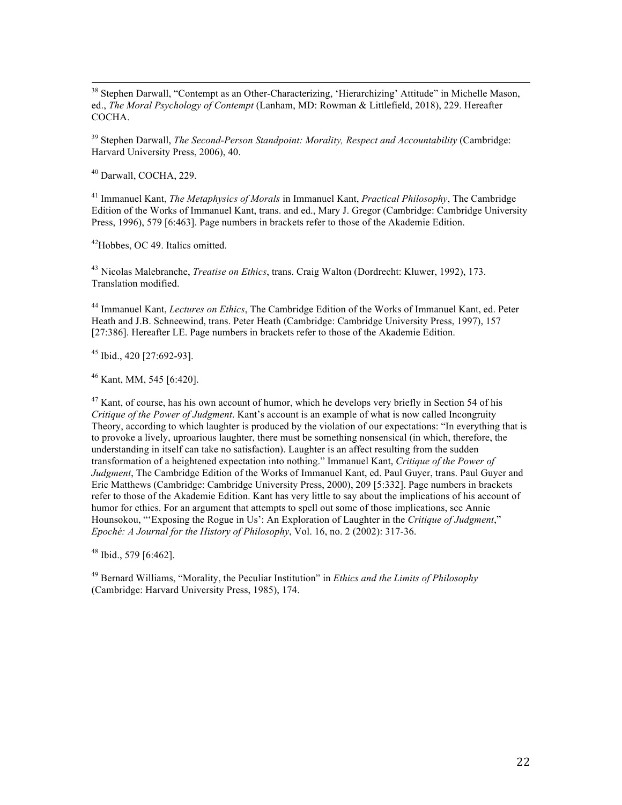<sup>38</sup> Stephen Darwall, "Contempt as an Other-Characterizing, 'Hierarchizing' Attitude" in Michelle Mason, ed., *The Moral Psychology of Contempt* (Lanham, MD: Rowman & Littlefield, 2018), 229. Hereafter COCHA.

<sup>39</sup> Stephen Darwall, *The Second-Person Standpoint: Morality, Respect and Accountability* (Cambridge: Harvard University Press, 2006), 40.

<sup>40</sup> Darwall, COCHA, 229.

<sup>41</sup> Immanuel Kant, *The Metaphysics of Morals* in Immanuel Kant, *Practical Philosophy*, The Cambridge Edition of the Works of Immanuel Kant, trans. and ed., Mary J. Gregor (Cambridge: Cambridge University Press, 1996), 579 [6:463]. Page numbers in brackets refer to those of the Akademie Edition.

42Hobbes, OC 49. Italics omitted.

<sup>43</sup> Nicolas Malebranche, *Treatise on Ethics*, trans. Craig Walton (Dordrecht: Kluwer, 1992), 173. Translation modified.

<sup>44</sup> Immanuel Kant, *Lectures on Ethics*, The Cambridge Edition of the Works of Immanuel Kant, ed. Peter Heath and J.B. Schneewind, trans. Peter Heath (Cambridge: Cambridge University Press, 1997), 157 [27:386]. Hereafter LE. Page numbers in brackets refer to those of the Akademie Edition.

<sup>45</sup> Ibid., 420 [27:692-93].

<sup>46</sup> Kant, MM, 545 [6:420].

 $47$  Kant, of course, has his own account of humor, which he develops very briefly in Section 54 of his *Critique of the Power of Judgment*. Kant's account is an example of what is now called Incongruity Theory, according to which laughter is produced by the violation of our expectations: "In everything that is to provoke a lively, uproarious laughter, there must be something nonsensical (in which, therefore, the understanding in itself can take no satisfaction). Laughter is an affect resulting from the sudden transformation of a heightened expectation into nothing." Immanuel Kant, *Critique of the Power of Judgment*, The Cambridge Edition of the Works of Immanuel Kant, ed. Paul Guyer, trans. Paul Guyer and Eric Matthews (Cambridge: Cambridge University Press, 2000), 209 [5:332]. Page numbers in brackets refer to those of the Akademie Edition. Kant has very little to say about the implications of his account of humor for ethics. For an argument that attempts to spell out some of those implications, see Annie Hounsokou, "'Exposing the Rogue in Us': An Exploration of Laughter in the *Critique of Judgment*," *Epoché: A Journal for the History of Philosophy*, Vol. 16, no. 2 (2002): 317-36.

<sup>48</sup> Ibid., 579 [6:462].

<sup>49</sup> Bernard Williams, "Morality, the Peculiar Institution" in *Ethics and the Limits of Philosophy* (Cambridge: Harvard University Press, 1985), 174.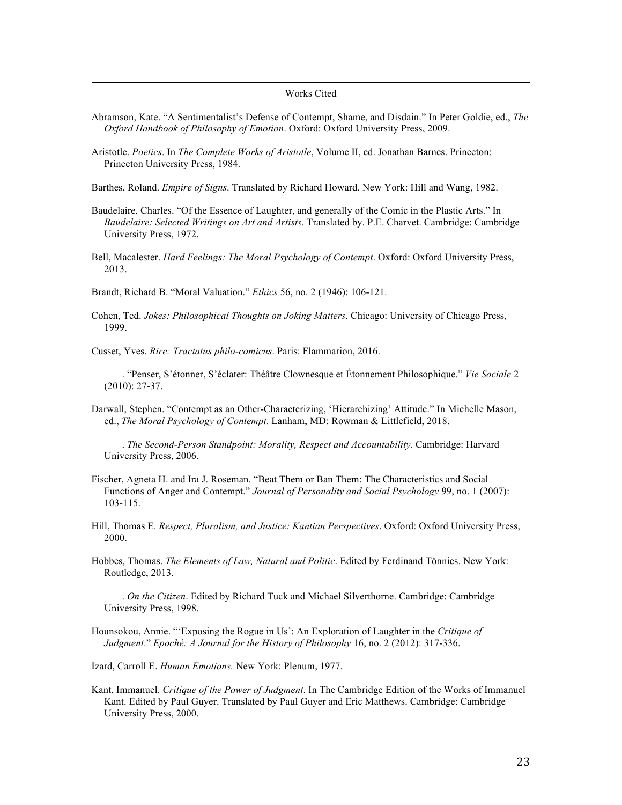## <u> 1989 - Andrea Santa Andrea Andrea Andrea Andrea Andrea Andrea Andrea Andrea Andrea Andrea Andrea Andrea Andr</u> Works Cited

- Abramson, Kate. "A Sentimentalist's Defense of Contempt, Shame, and Disdain." In Peter Goldie, ed., *The Oxford Handbook of Philosophy of Emotion*. Oxford: Oxford University Press, 2009.
- Aristotle. *Poetics*. In *The Complete Works of Aristotle*, Volume II, ed. Jonathan Barnes. Princeton: Princeton University Press, 1984.

Barthes, Roland. *Empire of Signs*. Translated by Richard Howard. New York: Hill and Wang, 1982.

- Baudelaire, Charles. "Of the Essence of Laughter, and generally of the Comic in the Plastic Arts." In *Baudelaire: Selected Writings on Art and Artists*. Translated by. P.E. Charvet. Cambridge: Cambridge University Press, 1972.
- Bell, Macalester. *Hard Feelings: The Moral Psychology of Contempt*. Oxford: Oxford University Press, 2013.

Brandt, Richard B. "Moral Valuation." *Ethics* 56, no. 2 (1946): 106-121.

Cohen, Ted. *Jokes: Philosophical Thoughts on Joking Matters*. Chicago: University of Chicago Press, 1999.

Cusset, Yves. *Rire: Tractatus philo-comicus*. Paris: Flammarion, 2016.

- ———. "Penser, S'étonner, S'éclater: Théâtre Clownesque et Étonnement Philosophique." *Vie Sociale* 2 (2010): 27-37.
- Darwall, Stephen. "Contempt as an Other-Characterizing, 'Hierarchizing' Attitude." In Michelle Mason, ed., *The Moral Psychology of Contempt*. Lanham, MD: Rowman & Littlefield, 2018.

———. *The Second-Person Standpoint: Morality, Respect and Accountability.* Cambridge: Harvard University Press, 2006.

- Fischer, Agneta H. and Ira J. Roseman. "Beat Them or Ban Them: The Characteristics and Social Functions of Anger and Contempt." *Journal of Personality and Social Psychology* 99, no. 1 (2007): 103-115.
- Hill, Thomas E. *Respect, Pluralism, and Justice: Kantian Perspectives*. Oxford: Oxford University Press, 2000.
- Hobbes, Thomas. *The Elements of Law, Natural and Politic*. Edited by Ferdinand Tönnies. New York: Routledge, 2013.
- ———. *On the Citizen*. Edited by Richard Tuck and Michael Silverthorne. Cambridge: Cambridge University Press, 1998.
- Hounsokou, Annie. "'Exposing the Rogue in Us': An Exploration of Laughter in the *Critique of Judgment*." *Epoché: A Journal for the History of Philosophy* 16, no. 2 (2012): 317-336.

Izard, Carroll E. *Human Emotions.* New York: Plenum, 1977.

Kant, Immanuel. *Critique of the Power of Judgment*. In The Cambridge Edition of the Works of Immanuel Kant. Edited by Paul Guyer. Translated by Paul Guyer and Eric Matthews. Cambridge: Cambridge University Press, 2000.